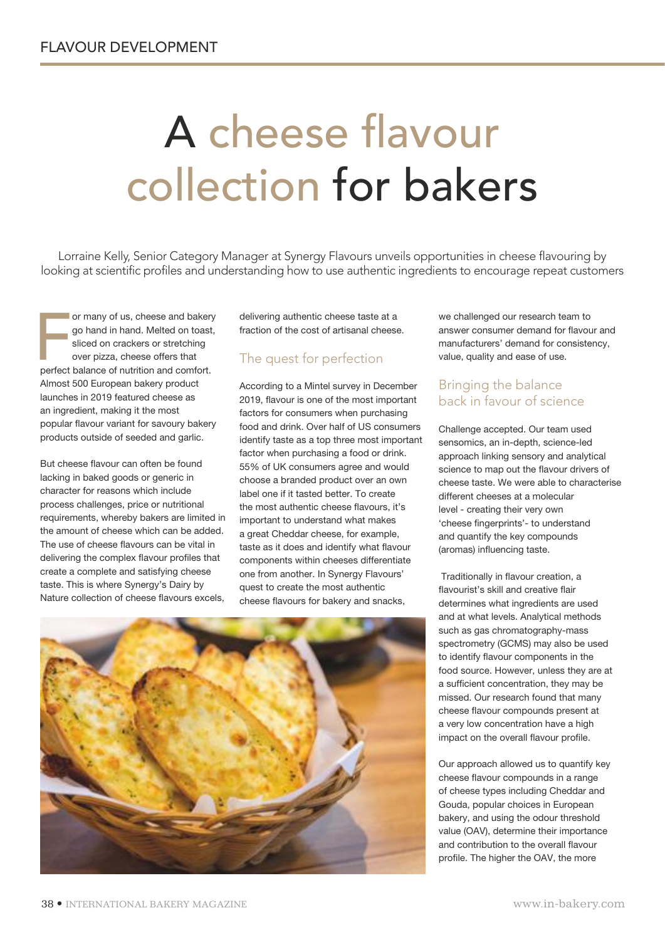# A cheese flavour collection for bakers

Lorraine Kelly, Senior Category Manager at Synergy Flavours unveils opportunities in cheese flavouring by looking at scientific profiles and understanding how to use authentic ingredients to encourage repeat customers

or many of us, cheese and bakery<br>go hand in hand. Melted on toast<br>sliced on crackers or stretching<br>over pizza, cheese offers that<br>perfect balance of nutrition and comfort. or many of us, cheese and bakery go hand in hand. Melted on toast, sliced on crackers or stretching over pizza, cheese offers that Almost 500 European bakery product launches in 2019 featured cheese as an ingredient, making it the most popular flavour variant for savoury bakery products outside of seeded and garlic.

But cheese flavour can often be found lacking in baked goods or generic in character for reasons which include process challenges, price or nutritional requirements, whereby bakers are limited in the amount of cheese which can be added. The use of cheese flavours can be vital in delivering the complex flavour profiles that create a complete and satisfying cheese taste. This is where Synergy's Dairy by Nature collection of cheese flavours excels,

delivering authentic cheese taste at a fraction of the cost of artisanal cheese.

## The quest for perfection

According to a Mintel survey in December 2019, flavour is one of the most important factors for consumers when purchasing food and drink. Over half of US consumers identify taste as a top three most important factor when purchasing a food or drink. 55% of UK consumers agree and would choose a branded product over an own label one if it tasted better. To create the most authentic cheese flavours, it's important to understand what makes a great Cheddar cheese, for example, taste as it does and identify what flavour components within cheeses differentiate one from another. In Synergy Flavours' quest to create the most authentic cheese flavours for bakery and snacks,

we challenged our research team to answer consumer demand for flavour and manufacturers' demand for consistency, value, quality and ease of use.

### Bringing the balance back in favour of science

Challenge accepted. Our team used sensomics, an in-depth, science-led approach linking sensory and analytical science to map out the flavour drivers of cheese taste. We were able to characterise different cheeses at a molecular level - creating their very own 'cheese fingerprints'- to understand and quantify the key compounds (aromas) influencing taste.

 Traditionally in flavour creation, a flavourist's skill and creative flair determines what ingredients are used and at what levels. Analytical methods such as gas chromatography-mass spectrometry (GCMS) may also be used to identify flavour components in the food source. However, unless they are at a sufficient concentration, they may be missed. Our research found that many cheese flavour compounds present at a very low concentration have a high impact on the overall flavour profile.

Our approach allowed us to quantify key cheese flavour compounds in a range of cheese types including Cheddar and Gouda, popular choices in European bakery, and using the odour threshold value (OAV), determine their importance and contribution to the overall flavour profile. The higher the OAV, the more